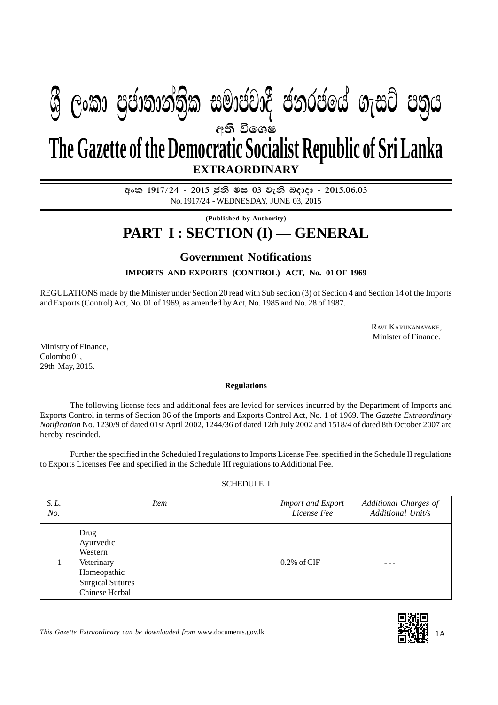# අති වි**ශෙ**ෂ **EXTRAORDINARY The Gazette of the Democratic Socialist Republic of Sri Lanka**  $\mathfrak{G}$  ලංකා පුජාතාන්තිුක සමාජවාදී ජනරජයේ ගැසට් පතුය

**අංක 1917/24 - 2015 ජනි මස 03 වැනි බදාදා - 2015.06.03** No. 1917/24 - WEDNESDAY, JUNE 03, 2015

**(Published by Authority)**

## **PART I : SECTION (I) — GENERAL**

### **Government Notifications**

**IMPORTS AND EXPORTS (CONTROL) ACT, No. 01 OF 1969**

REGULATIONS made by the Minister under Section 20 read with Sub section (3) of Section 4 and Section 14 of the Imports and Exports (Control) Act, No. 01 of 1969, as amended by Act, No. 1985 and No. 28 of 1987.

> RAVI KARUNANAYAKE, Minister of Finance.

Ministry of Finance, Colombo 01, 29th May, 2015.

#### **Regulations**

The following license fees and additional fees are levied for services incurred by the Department of Imports and Exports Control in terms of Section 06 of the Imports and Exports Control Act, No. 1 of 1969. The *Gazette Extraordinary Notification* No. 1230/9 of dated 01st April 2002, 1244/36 of dated 12th July 2002 and 1518/4 of dated 8th October 2007 are hereby rescinded.

Further the specified in the Scheduled I regulations to Imports License Fee, specified in the Schedule II regulations to Exports Licenses Fee and specified in the Schedule III regulations to Additional Fee.

#### SCHEDULE I

| S. L. | <i>Item</i>                                                                                            | <b>Import and Export</b> | Additional Charges of |
|-------|--------------------------------------------------------------------------------------------------------|--------------------------|-----------------------|
| No.   |                                                                                                        | License Fee              | Additional Unit/s     |
|       | Drug<br>Ayurvedic<br>Western<br>Veterinary<br>Homeopathic<br><b>Surgical Sutures</b><br>Chinese Herbal | $0.2\%$ of CIF           |                       |

*This Gazette Extraordinary can be downloaded from* www.documents.gov.lk 1A

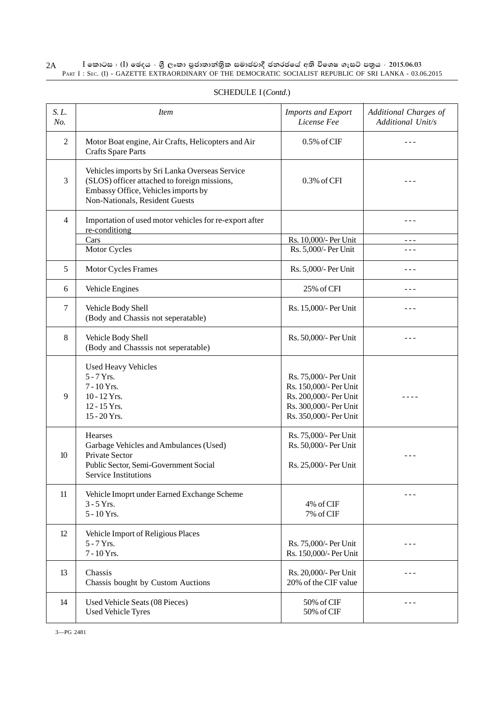2A l කොටස : (I) ඡෙදය - ශුී ලංකා පුජාතාන්තිුක සමාජවාදී ජනරජයේ අති විශෙෂ ගැසට් පතුය - 2015.06.03 PART I : SEC. (I) - GAZETTE EXTRAORDINARY OF THE DEMOCRATIC SOCIALIST REPUBLIC OF SRI LANKA - 03.06.2015

| S. L.<br>No.   | <i>Item</i>                                                                                                                                                             | <b>Imports and Export</b><br>License Fee                                                                                      | Additional Charges of<br>Additional Unit/s |
|----------------|-------------------------------------------------------------------------------------------------------------------------------------------------------------------------|-------------------------------------------------------------------------------------------------------------------------------|--------------------------------------------|
| 2              | Motor Boat engine, Air Crafts, Helicopters and Air<br><b>Crafts Spare Parts</b>                                                                                         | 0.5% of CIF                                                                                                                   |                                            |
| 3              | Vehicles imports by Sri Lanka Overseas Service<br>(SLOS) officer attached to foreign missions,<br>Embassy Office, Vehicles imports by<br>Non-Nationals, Resident Guests | 0.3% of CFI                                                                                                                   | $- - -$                                    |
| $\overline{4}$ | Importation of used motor vehicles for re-export after<br>re-conditiong                                                                                                 |                                                                                                                               | $- - -$                                    |
|                | Cars                                                                                                                                                                    | Rs. 10,000/- Per Unit                                                                                                         | ---                                        |
|                | Motor Cycles                                                                                                                                                            | Rs. 5,000/- Per Unit                                                                                                          | ---                                        |
| 5              | Motor Cycles Frames                                                                                                                                                     | Rs. 5,000/- Per Unit                                                                                                          | ---                                        |
| 6              | Vehicle Engines                                                                                                                                                         | 25% of CFI                                                                                                                    | - - -                                      |
| 7              | Vehicle Body Shell<br>(Body and Chassis not seperatable)                                                                                                                | Rs. 15,000/- Per Unit                                                                                                         | ---                                        |
| 8              | Vehicle Body Shell<br>(Body and Chasssis not seperatable)                                                                                                               | Rs. 50,000/- Per Unit                                                                                                         | ---                                        |
| 9              | <b>Used Heavy Vehicles</b><br>$5 - 7$ Yrs.<br>7 - 10 Yrs.<br>10 - 12 Yrs.<br>12 - 15 Yrs.<br>15 - 20 Yrs.                                                               | Rs. 75,000/- Per Unit<br>Rs. 150,000/- Per Unit<br>Rs. 200,000/- Per Unit<br>Rs. 300,000/- Per Unit<br>Rs. 350,000/- Per Unit | - - - -                                    |
| 10             | <b>Hearses</b><br>Garbage Vehicles and Ambulances (Used)<br>Private Sector<br>Public Sector, Semi-Government Social<br>Service Institutions                             | Rs. 75,000/- Per Unit<br>Rs. 50,000/- Per Unit<br>Rs. 25,000/- Per Unit                                                       |                                            |
| 11             | Vehicle Imoprt under Earned Exchange Scheme<br>$3 - 5$ Yrs.<br>5 - 10 Yrs.                                                                                              | 4% of CIF<br>7% of CIF                                                                                                        |                                            |
| 12             | Vehicle Import of Religious Places<br>$5 - 7$ Yrs.<br>7 - 10 Yrs.                                                                                                       | Rs. 75,000/- Per Unit<br>Rs. 150,000/- Per Unit                                                                               | ---                                        |
| 13             | Chassis<br>Chassis bought by Custom Auctions                                                                                                                            | Rs. 20,000/- Per Unit<br>20% of the CIF value                                                                                 |                                            |
| 14             | Used Vehicle Seats (08 Pieces)<br><b>Used Vehicle Tyres</b>                                                                                                             | 50% of CIF<br>50% of CIF                                                                                                      | ---                                        |

#### SCHEDULE I (*Contd*.)

3—PG 2481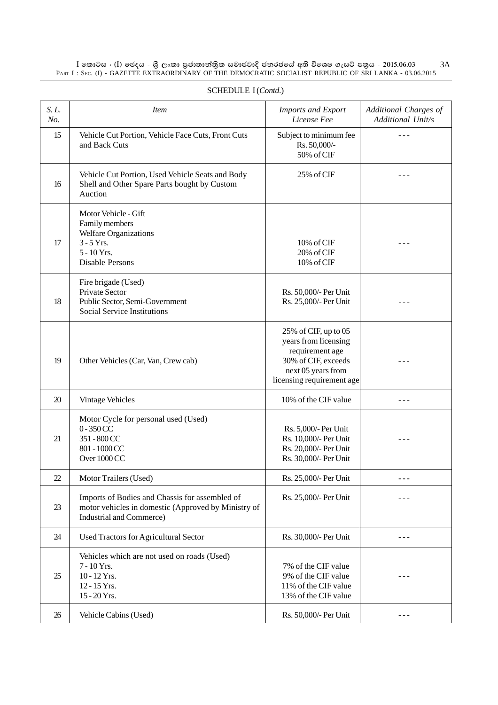$\rm I$  කොටස : ( $\rm I$ ) ඡෙදය - ශුී ලංකා පුජාතාන්තිුක සමාජවාදී ජනරජයේ අති විශෙෂ ගැසට් පතුය - 2015.06.03  $\rm A$ PART I : SEC. (I) - GAZETTE EXTRAORDINARY OF THE DEMOCRATIC SOCIALIST REPUBLIC OF SRI LANKA - 03.06.2015

| S. L.<br>No. | <b>Item</b>                                                                                                                                                        | <b>Imports and Export</b><br>License Fee                                                                                                  | Additional Charges of<br>Additional Unit/s |
|--------------|--------------------------------------------------------------------------------------------------------------------------------------------------------------------|-------------------------------------------------------------------------------------------------------------------------------------------|--------------------------------------------|
| 15           | Vehicle Cut Portion, Vehicle Face Cuts, Front Cuts<br>and Back Cuts                                                                                                | Subject to minimum fee<br>Rs. 50,000/-<br>50% of CIF                                                                                      |                                            |
| 16           | Vehicle Cut Portion, Used Vehicle Seats and Body<br>Shell and Other Spare Parts bought by Custom<br>Auction                                                        | 25% of CIF                                                                                                                                |                                            |
| 17           | Motor Vehicle - Gift<br>Family members<br>Welfare Organizations<br>$3 - 5$ Yrs.<br>10% of CIF<br>5 - 10 Yrs.<br>20% of CIF<br><b>Disable Persons</b><br>10% of CIF |                                                                                                                                           |                                            |
| 18           | Fire brigade (Used)<br><b>Private Sector</b><br>Public Sector, Semi-Government<br><b>Social Service Institutions</b>                                               | Rs. 50,000/- Per Unit<br>Rs. 25,000/- Per Unit                                                                                            |                                            |
| 19           | Other Vehicles (Car, Van, Crew cab)                                                                                                                                | 25% of CIF, up to 05<br>years from licensing<br>requirement age<br>30% of CIF, exceeds<br>next 05 years from<br>licensing requirement age |                                            |
| 20           | Vintage Vehicles                                                                                                                                                   | 10% of the CIF value                                                                                                                      | $- - -$                                    |
| 21           | Motor Cycle for personal used (Used)<br>$0 - 350$ CC<br>351 - 800 CC<br>801 - 1000 CC<br>Over 1000 CC                                                              | Rs. 5,000/- Per Unit<br>Rs. 10,000/- Per Unit<br>Rs. 20,000/- Per Unit<br>Rs. 30,000/- Per Unit                                           |                                            |
| 22           | Motor Trailers (Used)                                                                                                                                              | Rs. 25,000/- Per Unit                                                                                                                     | ---                                        |
| 23           | Imports of Bodies and Chassis for assembled of<br>motor vehicles in domestic (Approved by Ministry of<br>Industrial and Commerce)                                  | Rs. 25,000/- Per Unit                                                                                                                     | ---                                        |
| 24           | <b>Used Tractors for Agricultural Sector</b>                                                                                                                       | Rs. 30,000/- Per Unit                                                                                                                     |                                            |
| 25           | Vehicles which are not used on roads (Used)<br>7 - 10 Yrs.<br>10 - 12 Yrs.<br>12 - 15 Yrs.<br>15 - 20 Yrs.                                                         | 7% of the CIF value<br>9% of the CIF value<br>11% of the CIF value<br>13% of the CIF value                                                | ---                                        |
| 26           | Vehicle Cabins (Used)                                                                                                                                              | Rs. 50,000/- Per Unit                                                                                                                     | ---                                        |

#### SCHEDULE I (*Contd*.)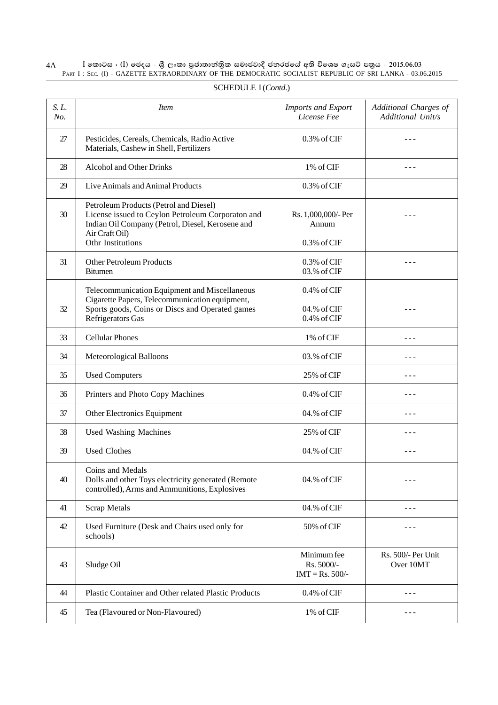4A I **fldgi ( ^**I**& fPoh - Y S % ,xld m %cd;dk a; s %l iudcjd§ ckrcfh a w; s úfYI .eiÜ m; %h - 2015'06'03** PART I : SEC. (I) - GAZETTE EXTRAORDINARY OF THE DEMOCRATIC SOCIALIST REPUBLIC OF SRI LANKA - 03.06.2015

| S. L.<br>No. | <i>Item</i>                                                                                                                                                                            | <b>Imports and Export</b><br>License Fee        | Additional Charges of<br>Additional Unit/s |
|--------------|----------------------------------------------------------------------------------------------------------------------------------------------------------------------------------------|-------------------------------------------------|--------------------------------------------|
| 27           | Pesticides, Cereals, Chemicals, Radio Active<br>Materials, Cashew in Shell, Fertilizers                                                                                                | 0.3% of CIF                                     |                                            |
| 28           | <b>Alcohol and Other Drinks</b>                                                                                                                                                        | 1% of CIF                                       |                                            |
| 29           | Live Animals and Animal Products                                                                                                                                                       | $0.3\%$ of CIF                                  |                                            |
| 30           | Petroleum Products (Petrol and Diesel)<br>License issued to Ceylon Petroleum Corporaton and<br>Indian Oil Company (Petrol, Diesel, Kerosene and<br>Air Craft Oil)<br>Othr Institutions | Rs. 1,000,000/- Per<br>Annum<br>0.3% of CIF     |                                            |
| 31           | <b>Other Petroleum Products</b><br><b>Bitumen</b>                                                                                                                                      | $0.3\%$ of CIF<br>03.% of CIF                   |                                            |
| 32           | Telecommunication Equipment and Miscellaneous<br>Cigarette Papers, Telecommunication equipment,<br>Sports goods, Coins or Discs and Operated games<br>Refrigerators Gas                | $0.4\%$ of CIF<br>04.% of CIF<br>$0.4\%$ of CIF |                                            |
| 33           | <b>Cellular Phones</b>                                                                                                                                                                 | 1% of CIF                                       |                                            |
| 34           | Meteorological Balloons                                                                                                                                                                | 03.% of CIF                                     | - - -                                      |
| 35           | <b>Used Computers</b>                                                                                                                                                                  | 25% of CIF                                      |                                            |
| 36           | Printers and Photo Copy Machines                                                                                                                                                       | $0.4\%$ of CIF                                  | - - -                                      |
| 37           | Other Electronics Equipment                                                                                                                                                            | 04.% of CIF                                     | - - -                                      |
| 38           | <b>Used Washing Machines</b>                                                                                                                                                           | 25% of CIF                                      | ---                                        |
| 39           | <b>Used Clothes</b>                                                                                                                                                                    | 04.% of CIF                                     | ---                                        |
| 40           | Coins and Medals<br>Dolls and other Toys electricity generated (Remote<br>controlled), Arms and Ammunitions, Explosives                                                                | 04.% of CIF                                     | ---                                        |
| 41           | Scrap Metals                                                                                                                                                                           | 04.% of CIF                                     | ---                                        |
| 42           | Used Furniture (Desk and Chairs used only for<br>schools)                                                                                                                              | 50% of CIF                                      |                                            |
| 43           | Sludge Oil                                                                                                                                                                             | Minimum fee<br>Rs. 5000/-<br>$IMT = Rs. 500/$ - | Rs. 500/- Per Unit<br>Over 10MT            |
| 44           | Plastic Container and Other related Plastic Products                                                                                                                                   | 0.4% of CIF                                     |                                            |
| 45           | Tea (Flavoured or Non-Flavoured)                                                                                                                                                       | 1% of CIF                                       | - - -                                      |

#### SCHEDULE I (*Contd*.)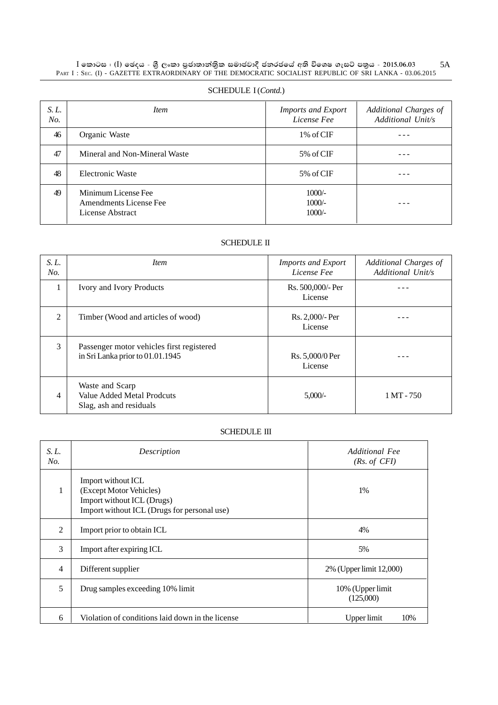$\rm I$  කොටස : ( $\rm I$ ) ඡෙදය - ශුී ලංකා පුජාතාන්තිුක සමාජවාදී ජනරජයේ අති විශෙෂ ගැසට් පතුය - 2015.06.03  $\rm SI$ PART I : SEC. (I) - GAZETTE EXTRAORDINARY OF THE DEMOCRATIC SOCIALIST REPUBLIC OF SRI LANKA - 03.06.2015

| S. L.<br>No. | <i>Item</i>                                                       | <b>Imports and Export</b><br>License Fee | Additional Charges of<br>Additional Unit/s |
|--------------|-------------------------------------------------------------------|------------------------------------------|--------------------------------------------|
| 46           | Organic Waste                                                     | 1\% of CIF                               |                                            |
| 47           | Mineral and Non-Mineral Waste                                     | 5% of CIF                                |                                            |
| 48           | Electronic Waste                                                  | 5% of CIF                                |                                            |
| 49           | Minimum License Fee<br>Amendments License Fee<br>License Abstract | $1000/-$<br>$1000/-$<br>$1000/-$         |                                            |

#### SCHEDULE I (*Contd*.)

#### SCHEDULE II

| S. L.<br>No.   | <i>Item</i>                                                                   | <b>Imports and Export</b><br>License Fee | Additional Charges of<br>Additional Unit/s |
|----------------|-------------------------------------------------------------------------------|------------------------------------------|--------------------------------------------|
|                | Ivory and Ivory Products                                                      | Rs. 500,000/- Per<br>License             |                                            |
| $\mathfrak{D}$ | Timber (Wood and articles of wood)                                            | Rs. 2,000/- Per<br>License               |                                            |
| 3              | Passenger motor vehicles first registered<br>in Sri Lanka prior to 01.01.1945 | Rs. 5,000/0 Per<br>License               |                                            |
| 4              | Waste and Scarp<br>Value Added Metal Prodcuts<br>Slag, ash and residuals      | 5,000/                                   | $1 \text{ MT} - 750$                       |

#### SCHEDULE III

| S. L.<br>No.   | Description                                                                                                                | Additional Fee<br>(Rs. of CFI) |
|----------------|----------------------------------------------------------------------------------------------------------------------------|--------------------------------|
| 1              | Import without ICL<br>(Except Motor Vehicles)<br>Import without ICL (Drugs)<br>Import without ICL (Drugs for personal use) | 1%                             |
| 2              | Import prior to obtain ICL                                                                                                 | 4%                             |
| 3              | Import after expiring ICL                                                                                                  | 5%                             |
| $\overline{4}$ | Different supplier                                                                                                         | 2% (Upper limit 12,000)        |
| 5              | Drug samples exceeding 10% limit                                                                                           | 10% (Upper limit<br>(125,000)  |
| 6              | Violation of conditions laid down in the license                                                                           | 10%<br>Upper limit             |